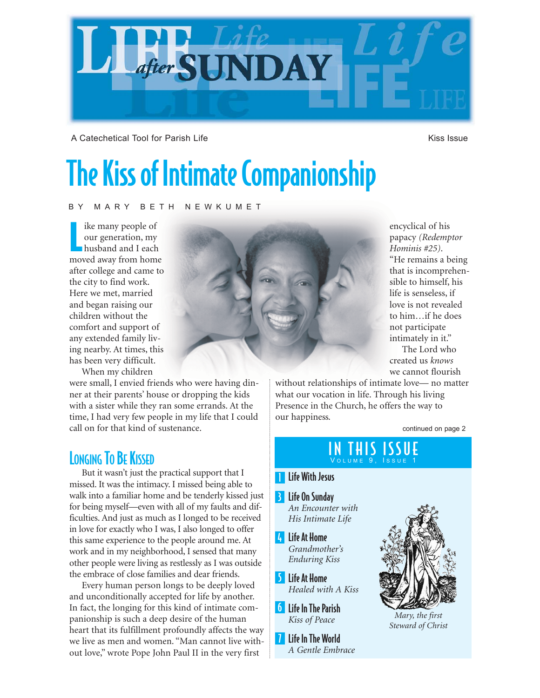

A Catechetical Tool for Parish Life Kissue Kissue

## The Kiss of Intimate Companionship

#### BY MARY BETH NEWKUMET

I ike many people of<br>our generation, my<br>husband and I each ike many people of our generation, my moved away from home after college and came to the city to find work. Here we met, married and began raising our children without the comfort and support of any extended family living nearby. At times, this has been very difficult.

When my children

were small, I envied friends who were having dinner at their parents' house or dropping the kids with a sister while they ran some errands. At the time, I had very few people in my life that I could call on for that kind of sustenance.

### LONGING TO BE KISSED

But it wasn't just the practical support that I missed. It was the intimacy. I missed being able to walk into a familiar home and be tenderly kissed just for being myself—even with all of my faults and difficulties. And just as much as I longed to be received in love for exactly who I was, I also longed to offer this same experience to the people around me. At work and in my neighborhood, I sensed that many other people were living as restlessly as I was outside the embrace of close families and dear friends.

Every human person longs to be deeply loved and unconditionally accepted for life by another. In fact, the longing for this kind of intimate companionship is such a deep desire of the human heart that its fulfillment profoundly affects the way we live as men and women. "Man cannot live without love," wrote Pope John Paul II in the very first



encyclical of his papacy *(Redemptor Hominis #25)*. "He remains a being that is incomprehensible to himself, his life is senseless, if love is not revealed to him…if he does not participate intimately in it." The Lord who created us *knows* we cannot flourish

without relationships of intimate love— no matter what our vocation in life. Through his living Presence in the Church, he offers the way to our happiness.

continued on page 2

### IN THIS ISSUE V OLUME 9, I SSUE 1

### **Life With Jesus**

- **B** Life On Sunday *An Encounter with His Intimate Life*
- 4 Life At Home *Grandmother's Enduring Kiss*
- 5 Life At Home *Healed with A Kiss*
- **6** Life In The Parish *Kiss of Peace*
- **7** Life In The World *A Gentle Embrace*



*Mary, the first Steward of Christ*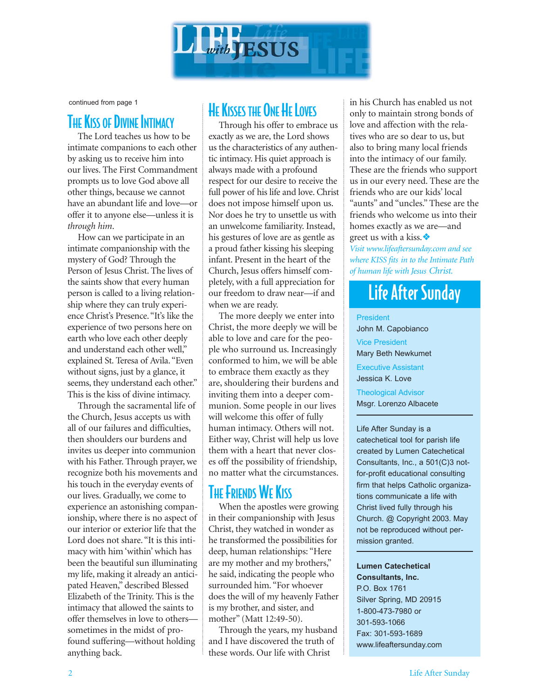

continued from page 1

### **THE KISS OF DIVINE INTIMACY**

The Lord teaches us how to be intimate companions to each other by asking us to receive him into our lives. The First Commandment prompts us to love God above all other things, because we cannot have an abundant life and love—or offer it to anyone else—unless it is *through him*.

How can we participate in an intimate companionship with the mystery of God? Through the Person of Jesus Christ. The lives of the saints show that every human person is called to a living relationship where they can truly experience Christ's Presence. "It's like the experience of two persons here on earth who love each other deeply and understand each other well," explained St. Teresa of Avila. "Even without signs, just by a glance, it seems, they understand each other." This is the kiss of divine intimacy.

Through the sacramental life of the Church, Jesus accepts us with all of our failures and difficulties, then shoulders our burdens and invites us deeper into communion with his Father. Through prayer, we recognize both his movements and his touch in the everyday events of our lives. Gradually, we come to experience an astonishing companionship, where there is no aspect of our interior or exterior life that the Lord does not share. "It is this intimacy with him 'within' which has been the beautiful sun illuminating my life, making it already an anticipated Heaven," described Blessed Elizabeth of the Trinity. This is the intimacy that allowed the saints to offer themselves in love to others sometimes in the midst of profound suffering—without holding anything back.

### HE KISSES THE ONE HE LOVES

Through his offer to embrace us exactly as we are, the Lord shows us the characteristics of any authentic intimacy. His quiet approach is always made with a profound respect for our desire to receive the full power of his life and love. Christ does not impose himself upon us. Nor does he try to unsettle us with an unwelcome familiarity. Instead, his gestures of love are as gentle as a proud father kissing his sleeping infant. Present in the heart of the Church, Jesus offers himself completely, with a full appreciation for our freedom to draw near—if and when we are ready.

The more deeply we enter into Christ, the more deeply we will be able to love and care for the people who surround us. Increasingly conformed to him, we will be able to embrace them exactly as they are, shouldering their burdens and inviting them into a deeper communion. Some people in our lives will welcome this offer of fully human intimacy. Others will not. Either way, Christ will help us love them with a heart that never closes off the possibility of friendship, no matter what the circumstances.

### **THE FRIENDS WE KISS**

When the apostles were growing in their companionship with Jesus Christ, they watched in wonder as he transformed the possibilities for deep, human relationships: "Here are my mother and my brothers," he said, indicating the people who surrounded him. "For whoever does the will of my heavenly Father is my brother, and sister, and mother" (Matt 12:49-50).

Through the years, my husband and I have discovered the truth of these words. Our life with Christ

in his Church has enabled us not only to maintain strong bonds of love and affection with the relatives who are so dear to us, but also to bring many local friends into the intimacy of our family. These are the friends who support us in our every need. These are the friends who are our kids' local "aunts" and "uncles." These are the friends who welcome us into their homes exactly as we are—and greet us with a kiss.❖

*Visit www.lifeaftersunday.com and see where KISS fits in to the Intimate Path of human life with Jesus Christ.*

## Life After Sunday

President John M. Capobianco Vice President Mary Beth Newkumet Executive Assistant Jessica K. Love Theological Advisor Msgr. Lorenzo Albacete

Life After Sunday is a catechetical tool for parish life created by Lumen Catechetical Consultants, Inc., a 501(C)3 notfor-profit educational consulting firm that helps Catholic organizations communicate a life with Christ lived fully through his Church. @ Copyright 2003. May not be reproduced without permission granted.

**Lumen Catechetical Consultants, Inc.** P.O. Box 1761 Silver Spring, MD 20915 1-800-473-7980 or 301-593-1066 Fax: 301-593-1689 www.lifeaftersunday.com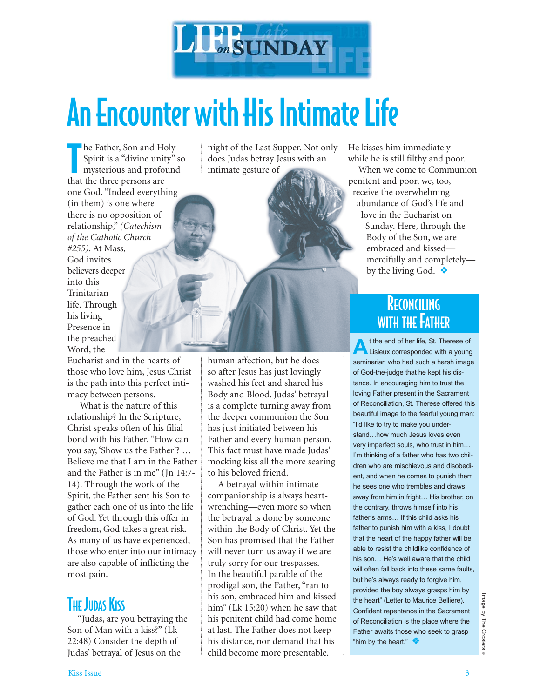

# An Encounter with His Intimate Life

T he Father, Son and Holy Spirit is a "divine unity" so mysterious and profound that the three persons are one God. "Indeed everything (in them) is one where there is no opposition of relationship," *(Catechism of the Catholic Church #255)*. At Mass, God invites believers deeper into this Trinitarian life. Through his living Presence in the preached Word, the

Eucharist and in the hearts of those who love him, Jesus Christ is the path into this perfect intimacy between persons.

What is the nature of this relationship? In the Scripture, Christ speaks often of his filial bond with his Father. "How can you say, 'Show us the Father'? … Believe me that I am in the Father and the Father is in me" (Jn 14:7- 14). Through the work of the Spirit, the Father sent his Son to gather each one of us into the life of God. Yet through this offer in freedom, God takes a great risk. As many of us have experienced, those who enter into our intimacy are also capable of inflicting the most pain.

### **THE JUDAS KISS**

"Judas, are you betraying the Son of Man with a kiss?" (Lk 22:48) Consider the depth of Judas' betrayal of Jesus on the

night of the Last Supper. Not only does Judas betray Jesus with an intimate gesture of

human affection, but he does so after Jesus has just lovingly washed his feet and shared his Body and Blood. Judas' betrayal is a complete turning away from the deeper communion the Son has just initiated between his Father and every human person. This fact must have made Judas' mocking kiss all the more searing to his beloved friend.

A betrayal within intimate companionship is always heartwrenching—even more so when the betrayal is done by someone within the Body of Christ. Yet the Son has promised that the Father will never turn us away if we are truly sorry for our trespasses. In the beautiful parable of the prodigal son, the Father, "ran to his son, embraced him and kissed him" (Lk 15:20) when he saw that his penitent child had come home at last. The Father does not keep his distance, nor demand that his child become more presentable.

He kisses him immediately while he is still filthy and poor.

When we come to Communion penitent and poor, we, too, receive the overwhelming abundance of God's life and love in the Eucharist on Sunday. Here, through the Body of the Son, we are embraced and kissed mercifully and completely by the living God. ❖

### **RECONCILING** WITH THE **FATHER**

A t the end of her life, St. Therese of<br>Lisieux corresponded with a young seminarian who had such a harsh image of God-the-judge that he kept his distance. In encouraging him to trust the loving Father present in the Sacrament of Reconciliation, St. Therese offered this beautiful image to the fearful young man: "I'd like to try to make you understand…how much Jesus loves even very imperfect souls, who trust in him… I'm thinking of a father who has two children who are mischievous and disobedient, and when he comes to punish them he sees one who trembles and draws away from him in fright… His brother, on the contrary, throws himself into his father's arms… If this child asks his father to punish him with a kiss, I doubt that the heart of the happy father will be able to resist the childlike confidence of his son… He's well aware that the child will often fall back into these same faults, but he's always ready to forgive him, provided the boy always grasps him by the heart" (Letter to Maurice Belliere). Confident repentance in the Sacrament of Reconciliation is the place where the Father awaits those who seek to grasp "him by the heart."  $\mathbf{\hat{P}}$ 

Image by The Crosiers mage ğ The Crosiers ©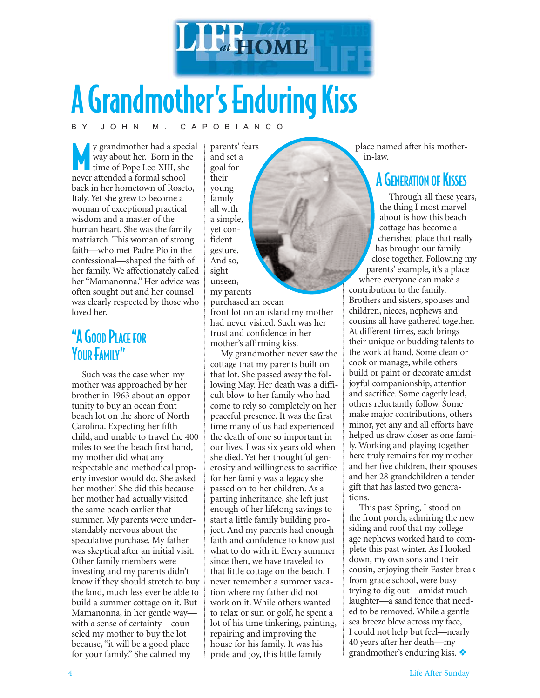

# A Grandmother's Enduring Kiss

BY JOHN M. CAPOBIANCO

y grandmother had a special way about her. Born in the time of Pope Leo XIII, she never attended a formal school back in her hometown of Roseto, Italy. Yet she grew to become a woman of exceptional practical wisdom and a master of the human heart. She was the family matriarch. This woman of strong faith—who met Padre Pio in the confessional—shaped the faith of her family. We affectionately called her "Mamanonna." Her advice was often sought out and her counsel was clearly respected by those who loved her.

### "A GOOD PLACE FOR YOUR FAMILY"

Such was the case when my mother was approached by her brother in 1963 about an opportunity to buy an ocean front beach lot on the shore of North Carolina. Expecting her fifth child, and unable to travel the 400 miles to see the beach first hand, my mother did what any respectable and methodical property investor would do. She asked her mother! She did this because her mother had actually visited the same beach earlier that summer. My parents were understandably nervous about the speculative purchase. My father was skeptical after an initial visit. Other family members were investing and my parents didn't know if they should stretch to buy the land, much less ever be able to build a summer cottage on it. But Mamanonna, in her gentle way with a sense of certainty—counseled my mother to buy the lot because, "it will be a good place for your family." She calmed my

parents' fears and set a goal for their young family all with a simple, yet confident gesture. And so, sight unseen, my parents purchased an ocean

front lot on an island my mother had never visited. Such was her trust and confidence in her mother's affirming kiss.

My grandmother never saw the cottage that my parents built on that lot. She passed away the following May. Her death was a difficult blow to her family who had come to rely so completely on her peaceful presence. It was the first time many of us had experienced the death of one so important in our lives. I was six years old when she died. Yet her thoughtful generosity and willingness to sacrifice for her family was a legacy she passed on to her children. As a parting inheritance, she left just enough of her lifelong savings to start a little family building project. And my parents had enough faith and confidence to know just what to do with it. Every summer since then, we have traveled to that little cottage on the beach. I never remember a summer vacation where my father did not work on it. While others wanted to relax or sun or golf, he spent a lot of his time tinkering, painting, repairing and improving the house for his family. It was his pride and joy, this little family

place named after his motherin-law.

## **A GENERATION OF KISSES**

Through all these years, the thing I most marvel about is how this beach cottage has become a cherished place that really has brought our family close together. Following my parents' example, it's a place

where everyone can make a contribution to the family. Brothers and sisters, spouses and children, nieces, nephews and cousins all have gathered together. At different times, each brings their unique or budding talents to the work at hand. Some clean or cook or manage, while others build or paint or decorate amidst joyful companionship, attention and sacrifice. Some eagerly lead, others reluctantly follow. Some make major contributions, others minor, yet any and all efforts have helped us draw closer as one family. Working and playing together here truly remains for my mother and her five children, their spouses and her 28 grandchildren a tender gift that has lasted two generations.

This past Spring, I stood on the front porch, admiring the new siding and roof that my college age nephews worked hard to complete this past winter. As I looked down, my own sons and their cousin, enjoying their Easter break from grade school, were busy trying to dig out—amidst much laughter—a sand fence that needed to be removed. While a gentle sea breeze blew across my face, I could not help but feel—nearly 40 years after her death—my grandmother's enduring kiss. ❖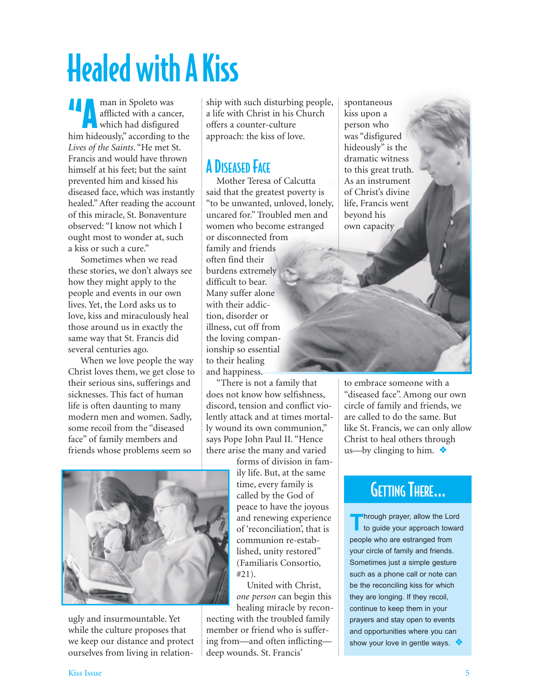# Healed with A Kiss

 $\prod_{\alpha \in \alpha}$  man in Spoleto was afflicted with a cancer, which had disfigured him hideously," according to the *Lives of the Saints*. "He met St. Francis and would have thrown himself at his feet; but the saint prevented him and kissed his diseased face, which was instantly healed." After reading the account of this miracle, St. Bonaventure observed: "I know not which I ought most to wonder at, such a kiss or such a cure."

Sometimes when we read these stories, we don't always see how they might apply to the people and events in our own lives. Yet, the Lord asks us to love, kiss and miraculously heal those around us in exactly the same way that St. Francis did several centuries ago.

When we love people the way Christ loves them, we get close to their serious sins, sufferings and sicknesses. This fact of human life is often daunting to many modern men and women. Sadly, some recoil from the "diseased face" of family members and friends whose problems seem so

ship with such disturbing people, a life with Christ in his Church offers a counter-culture approach: the kiss of love.

## A DISEASED FACE

Mother Teresa of Calcutta said that the greatest poverty is "to be unwanted, unloved, lonely, uncared for." Troubled men and women who become estranged or disconnected from family and friends often find their burdens extremely difficult to bear. Many suffer alone with their addiction, disorder or illness, cut off from the loving companionship so essential to their healing and happiness.

"There is not a family that does not know how selfishness, discord, tension and conflict violently attack and at times mortally wound its own communion," says Pope John Paul II. "Hence there arise the many and varied

forms of division in family life. But, at the same time, every family is called by the God of peace to have the joyous and renewing experience of 'reconciliation', that is communion re-established, unity restored" (Familiaris Consortio, #21).

United with Christ, *one person* can begin this healing miracle by reconnecting with the troubled family member or friend who is suffering from—and often inflicting deep wounds. St. Francis'

spontaneous kiss upon a person who was "disfigured hideously" is the dramatic witness to this great truth. As an instrument of Christ's divine life, Francis went beyond his own capacity

to embrace someone with a "diseased face". Among our own circle of family and friends, we are called to do the same. But like St. Francis, we can only allow Christ to heal others through us—by clinging to him.  $\triangle$ 

## GETTING THERE...

**T**hrough prayer, allow the Lord<br>to guide your approach toward people who are estranged from your circle of family and friends. Sometimes just a simple gesture such as a phone call or note can be the reconciling kiss for which they are longing. If they recoil, continue to keep them in your prayers and stay open to events and opportunities where you can show your love in gentle ways. ❖



ugly and insurmountable. Yet while the culture proposes that we keep our distance and protect ourselves from living in relation-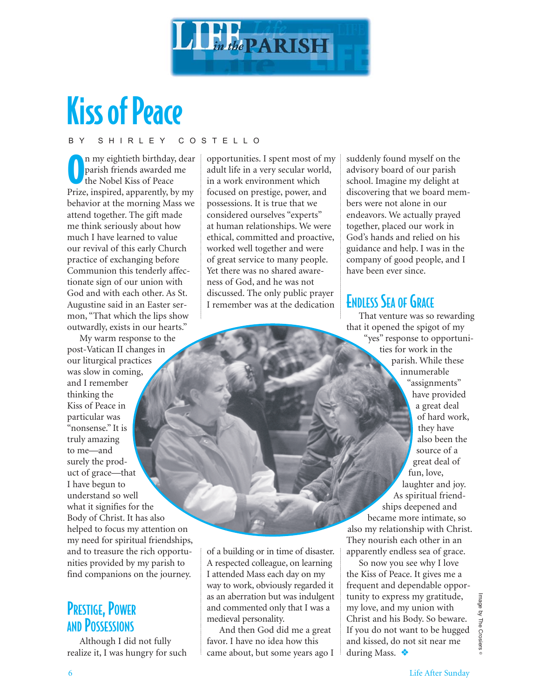

## Kiss of Peace

### SHIRLEY COSTELLO

O n my eightieth birthday, dear parish friends awarded me the Nobel Kiss of Peace Prize, inspired, apparently, by my behavior at the morning Mass we attend together. The gift made me think seriously about how much I have learned to value our revival of this early Church practice of exchanging before Communion this tenderly affectionate sign of our union with God and with each other. As St. Augustine said in an Easter sermon, "That which the lips show outwardly, exists in our hearts."

My warm response to the post-Vatican II changes in our liturgical practices was slow in coming, and I remember thinking the Kiss of Peace in particular was "nonsense." It is truly amazing to me—and surely the product of grace—that I have begun to understand so well what it signifies for the Body of Christ. It has also helped to focus my attention on my need for spiritual friendships, and to treasure the rich opportunities provided by my parish to find companions on the journey.

### PRESTIGE, POWER AND POSSESSIONS

Although I did not fully realize it, I was hungry for such opportunities. I spent most of my adult life in a very secular world, in a work environment which focused on prestige, power, and possessions. It is true that we considered ourselves "experts" at human relationships. We were ethical, committed and proactive, worked well together and were of great service to many people. Yet there was no shared awareness of God, and he was not discussed. The only public prayer I remember was at the dedication

of a building or in time of disaster. A respected colleague, on learning I attended Mass each day on my way to work, obviously regarded it as an aberration but was indulgent and commented only that I was a

And then God did me a great favor. I have no idea how this came about, but some years ago I

medieval personality.

suddenly found myself on the advisory board of our parish school. Imagine my delight at discovering that we board members were not alone in our endeavors. We actually prayed together, placed our work in God's hands and relied on his guidance and help. I was in the company of good people, and I have been ever since.

### ENDLESS SEA OF GRACE

That venture was so rewarding that it opened the spigot of my "yes" response to opportunities for work in the parish. While these innumerable "assignments" have provided a great deal of hard work, they have also been the source of a great deal of fun, love, laughter and joy. As spiritual friendships deepened and became more intimate, so also my relationship with Christ. They nourish each other in an apparently endless sea of grace.

So now you see why I love the Kiss of Peace. It gives me a frequent and dependable opportunity to express my gratitude, my love, and my union with Christ and his Body. So beware. If you do not want to be hugged and kissed, do not sit near me during Mass. ❖

Image by The Crosiers mage by The Crosiers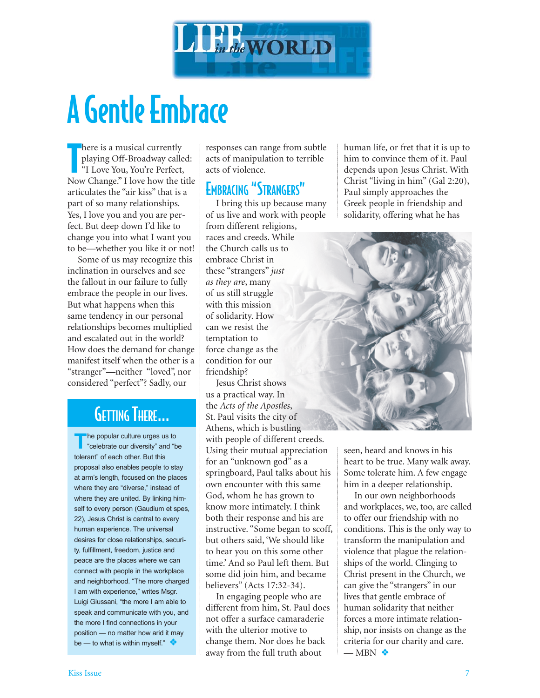

# A Gentle Embrace

There is a musical currently<br>playing Off-Broadway called:<br>"I Love You, You're Perfect,<br>Now Change." I love how the title here is a musical currently playing Off-Broadway called: "I Love You, You're Perfect, articulates the "air kiss" that is a part of so many relationships. Yes, I love you and you are perfect. But deep down I'd like to change you into what I want you to be—whether you like it or not!

Some of us may recognize this inclination in ourselves and see the fallout in our failure to fully embrace the people in our lives. But what happens when this same tendency in our personal relationships becomes multiplied and escalated out in the world? How does the demand for change manifest itself when the other is a "stranger"—neither "loved", nor considered "perfect"? Sadly, our

## GETTING THERE...

**T** The popular culture urges us to<br>
"celebrate our diversity" and "be tolerant" of each other. But this proposal also enables people to stay at arm's length, focused on the places where they are "diverse," instead of where they are united. By linking himself to every person (Gaudium et spes, 22), Jesus Christ is central to every human experience. The universal desires for close relationships, security, fulfillment, freedom, justice and peace are the places where we can connect with people in the workplace and neighborhood. "The more charged I am with experience," writes Msgr. Luigi Giussani, "the more I am able to speak and communicate with you, and the more I find connections in your position — no matter how arid it may be — to what is within myself." ❖

responses can range from subtle acts of manipulation to terrible acts of violence.

## EMBRACING "STRANGERS"

I bring this up because many of us live and work with people from different religions, races and creeds. While the Church calls us to embrace Christ in these "strangers" *just as they are*, many of us still struggle with this mission of solidarity. How can we resist the temptation to force change as the condition for our friendship?

Jesus Christ shows us a practical way. In the *Acts of the Apostles*, St. Paul visits the city of Athens, which is bustling with people of different creeds. Using their mutual appreciation for an "unknown god" as a springboard, Paul talks about his own encounter with this same God, whom he has grown to know more intimately. I think both their response and his are instructive. "Some began to scoff, but others said, 'We should like to hear you on this some other time.' And so Paul left them. But some did join him, and became believers" (Acts 17:32-34).

In engaging people who are different from him, St. Paul does not offer a surface camaraderie with the ulterior motive to change them. Nor does he back away from the full truth about

human life, or fret that it is up to him to convince them of it. Paul depends upon Jesus Christ. With Christ "living in him" (Gal 2:20), Paul simply approaches the Greek people in friendship and solidarity, offering what he has



seen, heard and knows in his heart to be true. Many walk away. Some tolerate him. A few engage him in a deeper relationship.

In our own neighborhoods and workplaces, we, too, are called to offer our friendship with no conditions. This is the only way to transform the manipulation and violence that plague the relationships of the world. Clinging to Christ present in the Church, we can give the "strangers" in our lives that gentle embrace of human solidarity that neither forces a more intimate relationship, nor insists on change as the criteria for our charity and care.  $-$  MBN  $\triangle$